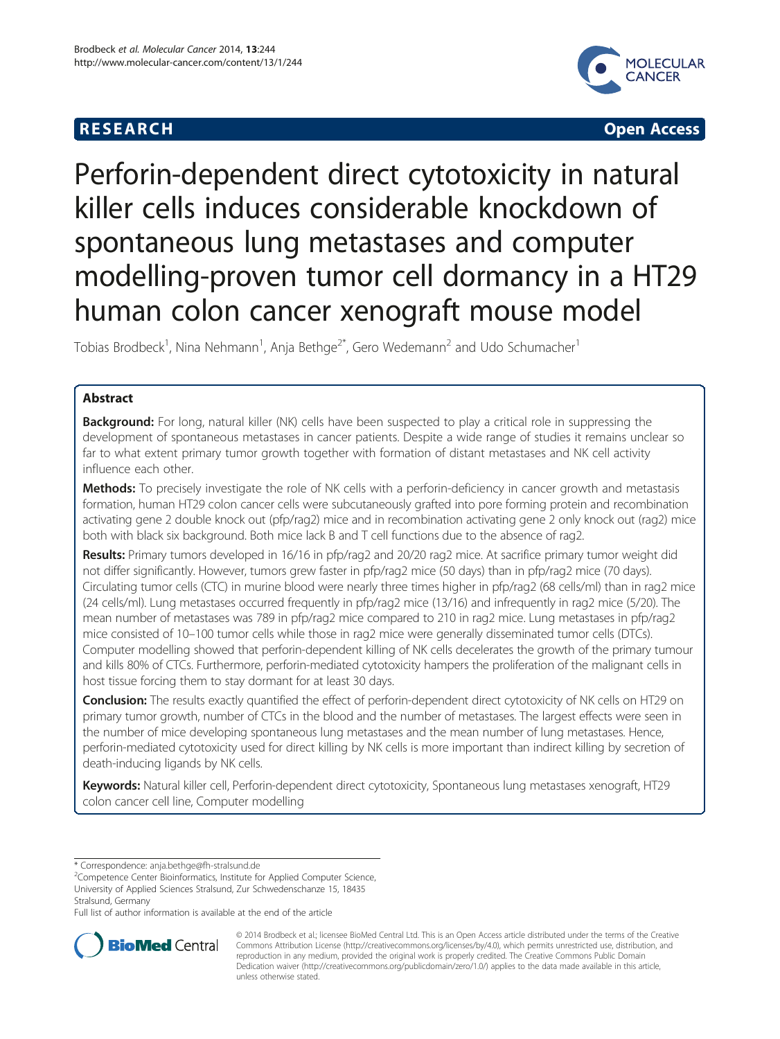# **RESEARCH CHILD CONTROL** CONTROL CONTROL CONTROL CONTROL CONTROL CONTROL CONTROL CONTROL CONTROL CONTROL CONTROL CONTROL CONTROL CONTROL CONTROL CONTROL CONTROL CONTROL CONTROL CONTROL CONTROL CONTROL CONTROL CONTROL CONTR



# Perforin-dependent direct cytotoxicity in natural killer cells induces considerable knockdown of spontaneous lung metastases and computer modelling-proven tumor cell dormancy in a HT29 human colon cancer xenograft mouse model

Tobias Brodbeck<sup>1</sup>, Nina Nehmann<sup>1</sup>, Anja Bethge<sup>2\*</sup>, Gero Wedemann<sup>2</sup> and Udo Schumacher<sup>1</sup>

# Abstract

**Background:** For long, natural killer (NK) cells have been suspected to play a critical role in suppressing the development of spontaneous metastases in cancer patients. Despite a wide range of studies it remains unclear so far to what extent primary tumor growth together with formation of distant metastases and NK cell activity influence each other.

Methods: To precisely investigate the role of NK cells with a perforin-deficiency in cancer growth and metastasis formation, human HT29 colon cancer cells were subcutaneously grafted into pore forming protein and recombination activating gene 2 double knock out (pfp/rag2) mice and in recombination activating gene 2 only knock out (rag2) mice both with black six background. Both mice lack B and T cell functions due to the absence of rag2.

Results: Primary tumors developed in 16/16 in pfp/rag2 and 20/20 rag2 mice. At sacrifice primary tumor weight did not differ significantly. However, tumors grew faster in pfp/rag2 mice (50 days) than in pfp/rag2 mice (70 days). Circulating tumor cells (CTC) in murine blood were nearly three times higher in pfp/rag2 (68 cells/ml) than in rag2 mice (24 cells/ml). Lung metastases occurred frequently in pfp/rag2 mice (13/16) and infrequently in rag2 mice (5/20). The mean number of metastases was 789 in pfp/rag2 mice compared to 210 in rag2 mice. Lung metastases in pfp/rag2 mice consisted of 10–100 tumor cells while those in rag2 mice were generally disseminated tumor cells (DTCs). Computer modelling showed that perforin-dependent killing of NK cells decelerates the growth of the primary tumour and kills 80% of CTCs. Furthermore, perforin-mediated cytotoxicity hampers the proliferation of the malignant cells in host tissue forcing them to stay dormant for at least 30 days.

Conclusion: The results exactly quantified the effect of perforin-dependent direct cytotoxicity of NK cells on HT29 on primary tumor growth, number of CTCs in the blood and the number of metastases. The largest effects were seen in the number of mice developing spontaneous lung metastases and the mean number of lung metastases. Hence, perforin-mediated cytotoxicity used for direct killing by NK cells is more important than indirect killing by secretion of death-inducing ligands by NK cells.

Keywords: Natural killer cell, Perforin-dependent direct cytotoxicity, Spontaneous lung metastases xenograft, HT29 colon cancer cell line, Computer modelling

\* Correspondence: [anja.bethge@fh-stralsund.de](mailto:anja.bethge@fh-stralsund.de) <sup>2</sup>

Full list of author information is available at the end of the article



© 2014 Brodbeck et al.; licensee BioMed Central Ltd. This is an Open Access article distributed under the terms of the Creative Commons Attribution License [\(http://creativecommons.org/licenses/by/4.0\)](http://creativecommons.org/licenses/by/4.0), which permits unrestricted use, distribution, and reproduction in any medium, provided the original work is properly credited. The Creative Commons Public Domain Dedication waiver [\(http://creativecommons.org/publicdomain/zero/1.0/](http://creativecommons.org/publicdomain/zero/1.0/)) applies to the data made available in this article, unless otherwise stated.

<sup>&</sup>lt;sup>2</sup>Competence Center Bioinformatics, Institute for Applied Computer Science, University of Applied Sciences Stralsund, Zur Schwedenschanze 15, 18435 Stralsund, Germany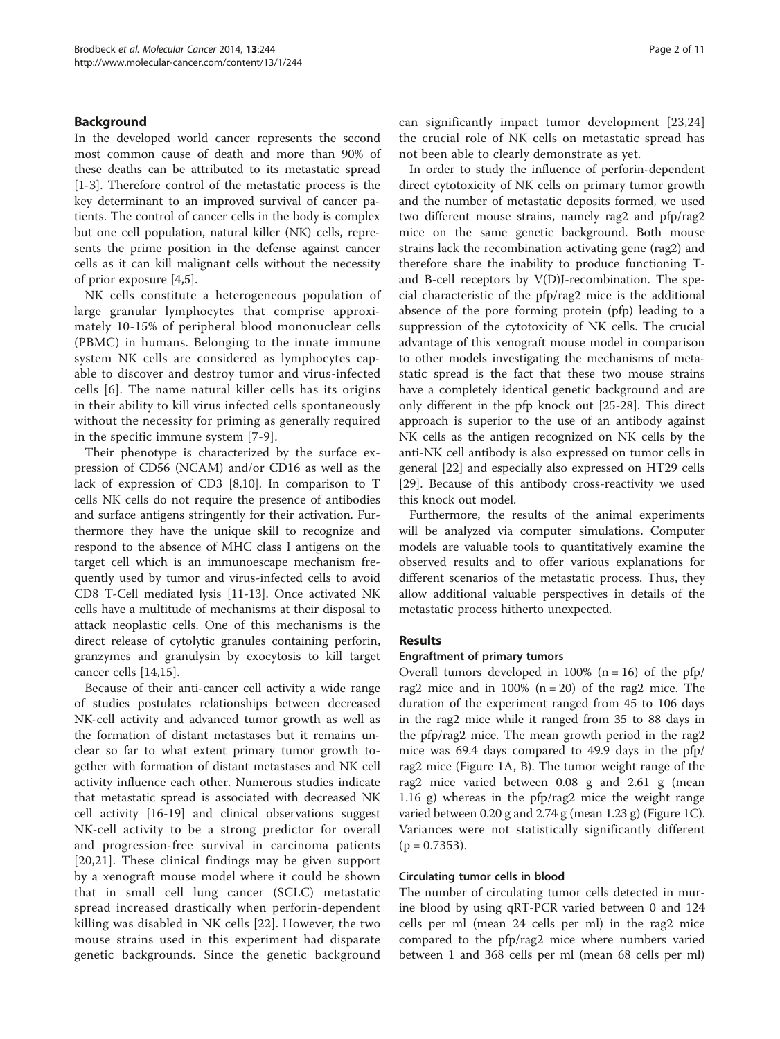# <span id="page-1-0"></span>Background

In the developed world cancer represents the second most common cause of death and more than 90% of these deaths can be attributed to its metastatic spread [[1-3](#page-9-0)]. Therefore control of the metastatic process is the key determinant to an improved survival of cancer patients. The control of cancer cells in the body is complex but one cell population, natural killer (NK) cells, represents the prime position in the defense against cancer cells as it can kill malignant cells without the necessity of prior exposure [[4,5\]](#page-9-0).

NK cells constitute a heterogeneous population of large granular lymphocytes that comprise approximately 10-15% of peripheral blood mononuclear cells (PBMC) in humans. Belonging to the innate immune system NK cells are considered as lymphocytes capable to discover and destroy tumor and virus-infected cells [[6\]](#page-9-0). The name natural killer cells has its origins in their ability to kill virus infected cells spontaneously without the necessity for priming as generally required in the specific immune system [\[7-9](#page-9-0)].

Their phenotype is characterized by the surface expression of CD56 (NCAM) and/or CD16 as well as the lack of expression of CD3 [[8,10\]](#page-9-0). In comparison to T cells NK cells do not require the presence of antibodies and surface antigens stringently for their activation. Furthermore they have the unique skill to recognize and respond to the absence of MHC class I antigens on the target cell which is an immunoescape mechanism frequently used by tumor and virus-infected cells to avoid CD8 T-Cell mediated lysis [[11-13\]](#page-9-0). Once activated NK cells have a multitude of mechanisms at their disposal to attack neoplastic cells. One of this mechanisms is the direct release of cytolytic granules containing perforin, granzymes and granulysin by exocytosis to kill target cancer cells [\[14,15\]](#page-9-0).

Because of their anti-cancer cell activity a wide range of studies postulates relationships between decreased NK-cell activity and advanced tumor growth as well as the formation of distant metastases but it remains unclear so far to what extent primary tumor growth together with formation of distant metastases and NK cell activity influence each other. Numerous studies indicate that metastatic spread is associated with decreased NK cell activity [[16-19](#page-9-0)] and clinical observations suggest NK-cell activity to be a strong predictor for overall and progression-free survival in carcinoma patients [[20](#page-9-0),[21\]](#page-9-0). These clinical findings may be given support by a xenograft mouse model where it could be shown that in small cell lung cancer (SCLC) metastatic spread increased drastically when perforin-dependent killing was disabled in NK cells [[22](#page-9-0)]. However, the two mouse strains used in this experiment had disparate genetic backgrounds. Since the genetic background can significantly impact tumor development [[23,24](#page-9-0)] the crucial role of NK cells on metastatic spread has not been able to clearly demonstrate as yet.

In order to study the influence of perforin-dependent direct cytotoxicity of NK cells on primary tumor growth and the number of metastatic deposits formed, we used two different mouse strains, namely rag2 and pfp/rag2 mice on the same genetic background. Both mouse strains lack the recombination activating gene (rag2) and therefore share the inability to produce functioning Tand B-cell receptors by V(D)J-recombination. The special characteristic of the pfp/rag2 mice is the additional absence of the pore forming protein (pfp) leading to a suppression of the cytotoxicity of NK cells. The crucial advantage of this xenograft mouse model in comparison to other models investigating the mechanisms of metastatic spread is the fact that these two mouse strains have a completely identical genetic background and are only different in the pfp knock out [\[25](#page-9-0)-[28\]](#page-9-0). This direct approach is superior to the use of an antibody against NK cells as the antigen recognized on NK cells by the anti-NK cell antibody is also expressed on tumor cells in general [[22\]](#page-9-0) and especially also expressed on HT29 cells [[29\]](#page-9-0). Because of this antibody cross-reactivity we used this knock out model.

Furthermore, the results of the animal experiments will be analyzed via computer simulations. Computer models are valuable tools to quantitatively examine the observed results and to offer various explanations for different scenarios of the metastatic process. Thus, they allow additional valuable perspectives in details of the metastatic process hitherto unexpected.

## Results

## Engraftment of primary tumors

Overall tumors developed in 100% ( $n = 16$ ) of the pfp/ rag2 mice and in  $100\%$  (n = 20) of the rag2 mice. The duration of the experiment ranged from 45 to 106 days in the rag2 mice while it ranged from 35 to 88 days in the pfp/rag2 mice. The mean growth period in the rag2 mice was 69.4 days compared to 49.9 days in the pfp/ rag2 mice (Figure [1A](#page-2-0), B). The tumor weight range of the rag2 mice varied between 0.08 g and 2.61 g (mean 1.16 g) whereas in the pfp/rag2 mice the weight range varied between 0.20 g and 2.74 g (mean 1.23 g) (Figure [1C](#page-2-0)). Variances were not statistically significantly different  $(p = 0.7353)$ .

# Circulating tumor cells in blood

The number of circulating tumor cells detected in murine blood by using qRT-PCR varied between 0 and 124 cells per ml (mean 24 cells per ml) in the rag2 mice compared to the pfp/rag2 mice where numbers varied between 1 and 368 cells per ml (mean 68 cells per ml)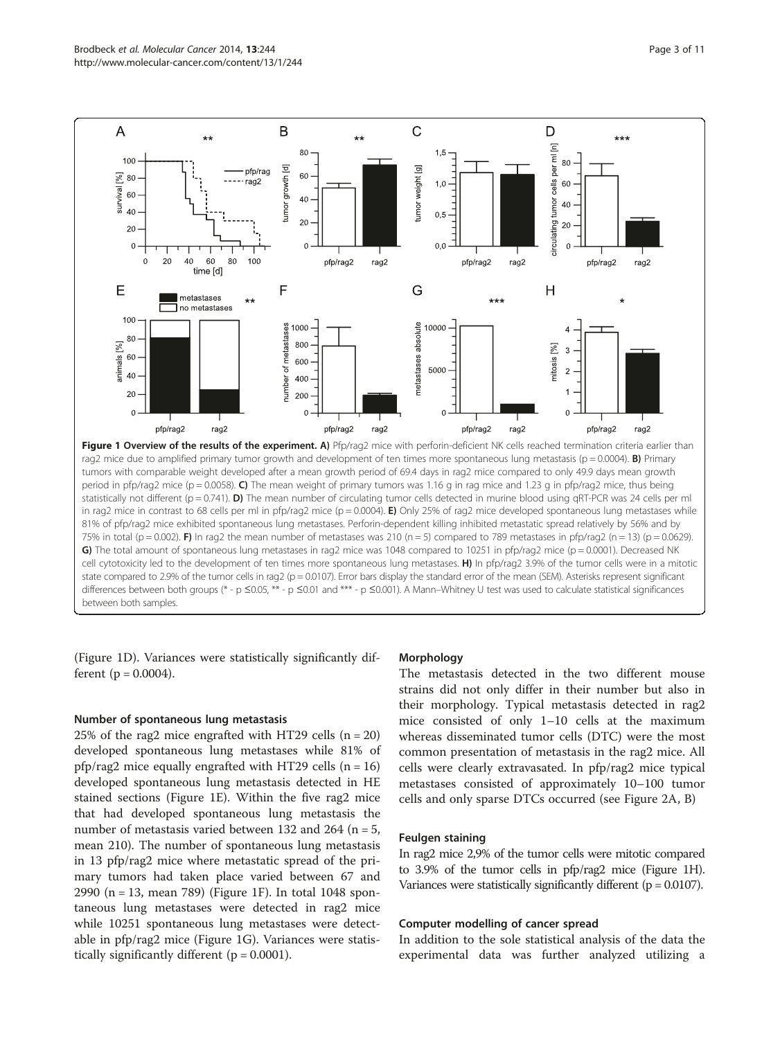<span id="page-2-0"></span>

in rag2 mice in contrast to 68 cells per ml in pfp/rag2 mice ( $p = 0.0004$ ). E) Only 25% of rag2 mice developed spontaneous lung metastases while 81% of pfp/rag2 mice exhibited spontaneous lung metastases. Perforin-dependent killing inhibited metastatic spread relatively by 56% and by 75% in total (p = 0.002). F) In rag2 the mean number of metastases was 210 (n = 5) compared to 789 metastases in pfp/rag2 (n = 13) (p = 0.0629). G) The total amount of spontaneous lung metastases in rag2 mice was 1048 compared to 10251 in pfp/rag2 mice ( $p = 0.0001$ ). Decreased NK cell cytotoxicity led to the development of ten times more spontaneous lung metastases. H) In pfp/rag2 3.9% of the tumor cells were in a mitotic state compared to 2.9% of the tumor cells in rag2 ( $p = 0.0107$ ). Error bars display the standard error of the mean (SEM). Asterisks represent significant differences between both groups (\* - p ≤0.05, \*\* - p ≤0.01 and \*\*\* - p ≤0.001). A Mann–Whitney U test was used to calculate statistical significances between both samples.

(Figure 1D). Variances were statistically significantly different ( $p = 0.0004$ ).

## Number of spontaneous lung metastasis

25% of the rag2 mice engrafted with HT29 cells  $(n = 20)$ developed spontaneous lung metastases while 81% of pfp/rag2 mice equally engrafted with HT29 cells  $(n = 16)$ developed spontaneous lung metastasis detected in HE stained sections (Figure 1E). Within the five rag2 mice that had developed spontaneous lung metastasis the number of metastasis varied between 132 and 264 ( $n = 5$ , mean 210). The number of spontaneous lung metastasis in 13 pfp/rag2 mice where metastatic spread of the primary tumors had taken place varied between 67 and 2990 (n = 13, mean 789) (Figure 1F). In total 1048 spontaneous lung metastases were detected in rag2 mice while 10251 spontaneous lung metastases were detectable in pfp/rag2 mice (Figure 1G). Variances were statistically significantly different ( $p = 0.0001$ ).

## **Morphology**

The metastasis detected in the two different mouse strains did not only differ in their number but also in their morphology. Typical metastasis detected in rag2 mice consisted of only 1–10 cells at the maximum whereas disseminated tumor cells (DTC) were the most common presentation of metastasis in the rag2 mice. All cells were clearly extravasated. In pfp/rag2 mice typical metastases consisted of approximately 10–100 tumor cells and only sparse DTCs occurred (see Figure [2](#page-3-0)A, B)

# Feulgen staining

In rag2 mice 2,9% of the tumor cells were mitotic compared to 3.9% of the tumor cells in pfp/rag2 mice (Figure 1H). Variances were statistically significantly different  $(p = 0.0107)$ .

### Computer modelling of cancer spread

In addition to the sole statistical analysis of the data the experimental data was further analyzed utilizing a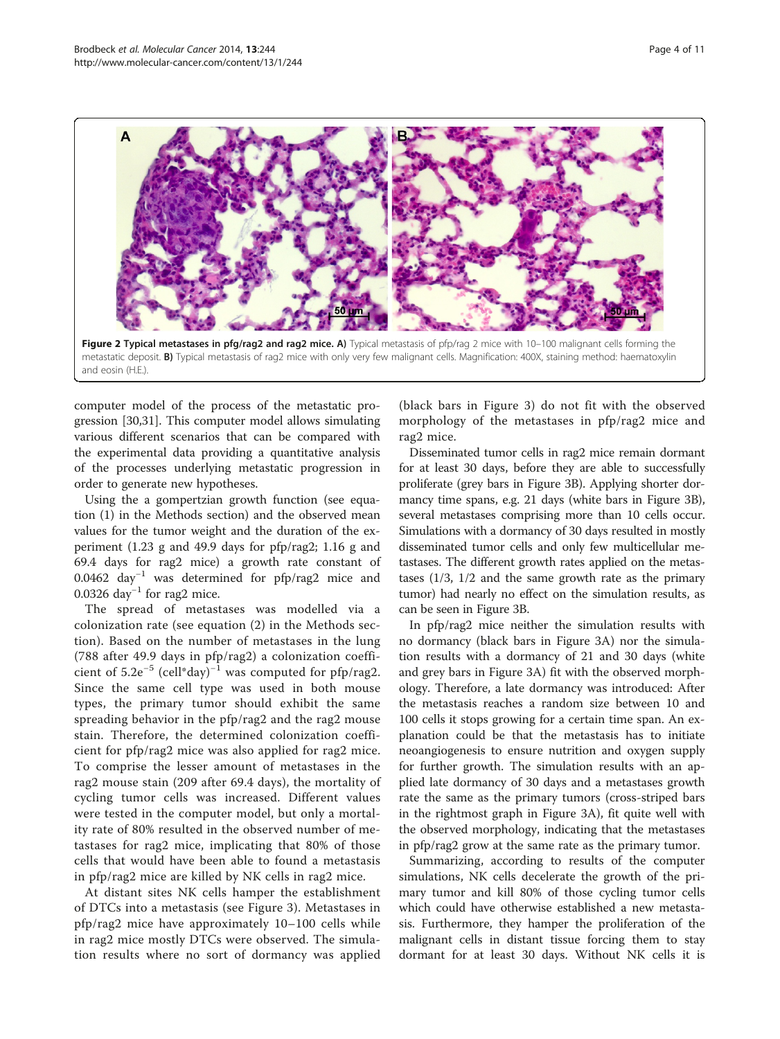<span id="page-3-0"></span>

computer model of the process of the metastatic progression [\[30,31](#page-9-0)]. This computer model allows simulating various different scenarios that can be compared with the experimental data providing a quantitative analysis of the processes underlying metastatic progression in order to generate new hypotheses.

Using the a gompertzian growth function (see equation [\(1](#page-7-0)) in the [Methods](#page-6-0) section) and the observed mean values for the tumor weight and the duration of the experiment (1.23 g and 49.9 days for pfp/rag2; 1.16 g and 69.4 days for rag2 mice) a growth rate constant of 0.0462 day−<sup>1</sup> was determined for pfp/rag2 mice and 0.0326 day<sup>-1</sup> for rag2 mice.

The spread of metastases was modelled via a colonization rate (see equation [\(2](#page-7-0)) in the [Methods](#page-6-0) section). Based on the number of metastases in the lung (788 after 49.9 days in pfp/rag2) a colonization coefficient of  $5.2e^{-5}$  (cell\*day)<sup>-1</sup> was computed for pfp/rag2. Since the same cell type was used in both mouse types, the primary tumor should exhibit the same spreading behavior in the pfp/rag2 and the rag2 mouse stain. Therefore, the determined colonization coefficient for pfp/rag2 mice was also applied for rag2 mice. To comprise the lesser amount of metastases in the rag2 mouse stain (209 after 69.4 days), the mortality of cycling tumor cells was increased. Different values were tested in the computer model, but only a mortality rate of 80% resulted in the observed number of metastases for rag2 mice, implicating that 80% of those cells that would have been able to found a metastasis in pfp/rag2 mice are killed by NK cells in rag2 mice.

At distant sites NK cells hamper the establishment of DTCs into a metastasis (see Figure [3](#page-4-0)). Metastases in pfp/rag2 mice have approximately 10–100 cells while in rag2 mice mostly DTCs were observed. The simulation results where no sort of dormancy was applied (black bars in Figure [3\)](#page-4-0) do not fit with the observed morphology of the metastases in pfp/rag2 mice and rag2 mice.

Disseminated tumor cells in rag2 mice remain dormant for at least 30 days, before they are able to successfully proliferate (grey bars in Figure [3](#page-4-0)B). Applying shorter dormancy time spans, e.g. 21 days (white bars in Figure [3B](#page-4-0)), several metastases comprising more than 10 cells occur. Simulations with a dormancy of 30 days resulted in mostly disseminated tumor cells and only few multicellular metastases. The different growth rates applied on the metastases (1/3, 1/2 and the same growth rate as the primary tumor) had nearly no effect on the simulation results, as can be seen in Figure [3B](#page-4-0).

In pfp/rag2 mice neither the simulation results with no dormancy (black bars in Figure [3](#page-4-0)A) nor the simulation results with a dormancy of 21 and 30 days (white and grey bars in Figure [3](#page-4-0)A) fit with the observed morphology. Therefore, a late dormancy was introduced: After the metastasis reaches a random size between 10 and 100 cells it stops growing for a certain time span. An explanation could be that the metastasis has to initiate neoangiogenesis to ensure nutrition and oxygen supply for further growth. The simulation results with an applied late dormancy of 30 days and a metastases growth rate the same as the primary tumors (cross-striped bars in the rightmost graph in Figure [3A](#page-4-0)), fit quite well with the observed morphology, indicating that the metastases in pfp/rag2 grow at the same rate as the primary tumor.

Summarizing, according to results of the computer simulations, NK cells decelerate the growth of the primary tumor and kill 80% of those cycling tumor cells which could have otherwise established a new metastasis. Furthermore, they hamper the proliferation of the malignant cells in distant tissue forcing them to stay dormant for at least 30 days. Without NK cells it is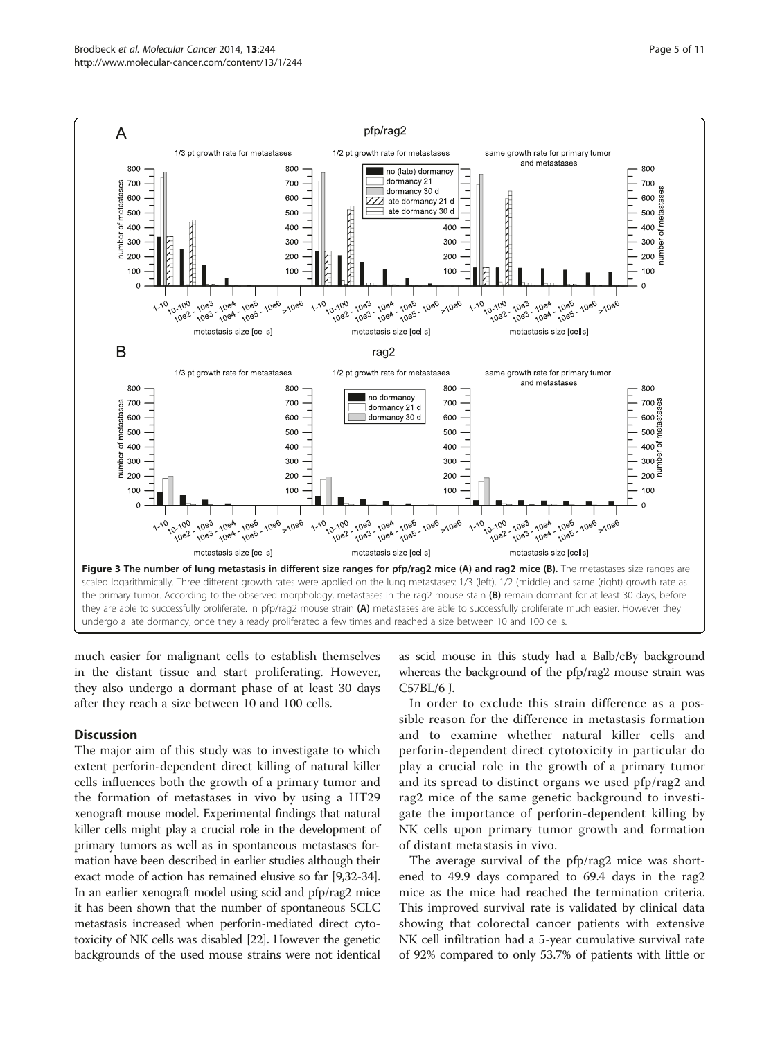<span id="page-4-0"></span>

much easier for malignant cells to establish themselves in the distant tissue and start proliferating. However, they also undergo a dormant phase of at least 30 days after they reach a size between 10 and 100 cells.

# **Discussion**

The major aim of this study was to investigate to which extent perforin-dependent direct killing of natural killer cells influences both the growth of a primary tumor and the formation of metastases in vivo by using a HT29 xenograft mouse model. Experimental findings that natural killer cells might play a crucial role in the development of primary tumors as well as in spontaneous metastases formation have been described in earlier studies although their exact mode of action has remained elusive so far [\[9,32-34](#page-9-0)]. In an earlier xenograft model using scid and pfp/rag2 mice it has been shown that the number of spontaneous SCLC metastasis increased when perforin-mediated direct cytotoxicity of NK cells was disabled [\[22\]](#page-9-0). However the genetic backgrounds of the used mouse strains were not identical as scid mouse in this study had a Balb/cBy background whereas the background of the pfp/rag2 mouse strain was C57BL/6 J.

In order to exclude this strain difference as a possible reason for the difference in metastasis formation and to examine whether natural killer cells and perforin-dependent direct cytotoxicity in particular do play a crucial role in the growth of a primary tumor and its spread to distinct organs we used pfp/rag2 and rag2 mice of the same genetic background to investigate the importance of perforin-dependent killing by NK cells upon primary tumor growth and formation of distant metastasis in vivo.

The average survival of the pfp/rag2 mice was shortened to 49.9 days compared to 69.4 days in the rag2 mice as the mice had reached the termination criteria. This improved survival rate is validated by clinical data showing that colorectal cancer patients with extensive NK cell infiltration had a 5-year cumulative survival rate of 92% compared to only 53.7% of patients with little or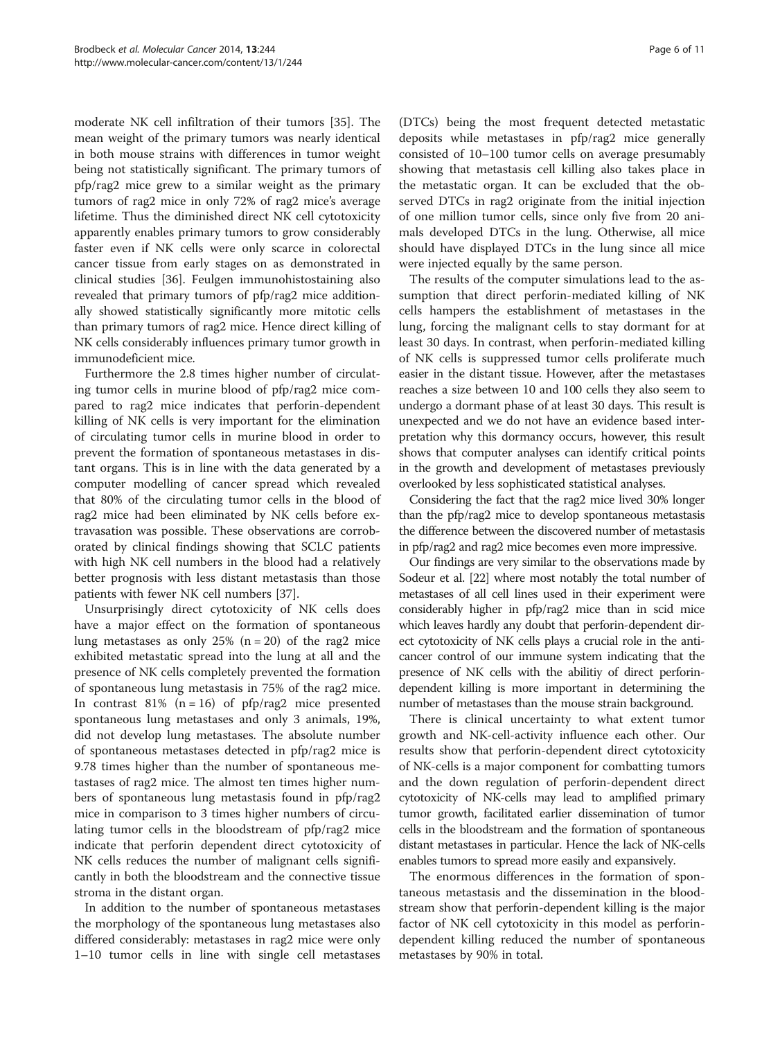moderate NK cell infiltration of their tumors [\[35\]](#page-9-0). The mean weight of the primary tumors was nearly identical in both mouse strains with differences in tumor weight being not statistically significant. The primary tumors of pfp/rag2 mice grew to a similar weight as the primary tumors of rag2 mice in only 72% of rag2 mice's average lifetime. Thus the diminished direct NK cell cytotoxicity apparently enables primary tumors to grow considerably faster even if NK cells were only scarce in colorectal cancer tissue from early stages on as demonstrated in clinical studies [[36](#page-9-0)]. Feulgen immunohistostaining also revealed that primary tumors of pfp/rag2 mice additionally showed statistically significantly more mitotic cells than primary tumors of rag2 mice. Hence direct killing of NK cells considerably influences primary tumor growth in immunodeficient mice.

Furthermore the 2.8 times higher number of circulating tumor cells in murine blood of pfp/rag2 mice compared to rag2 mice indicates that perforin-dependent killing of NK cells is very important for the elimination of circulating tumor cells in murine blood in order to prevent the formation of spontaneous metastases in distant organs. This is in line with the data generated by a computer modelling of cancer spread which revealed that 80% of the circulating tumor cells in the blood of rag2 mice had been eliminated by NK cells before extravasation was possible. These observations are corroborated by clinical findings showing that SCLC patients with high NK cell numbers in the blood had a relatively better prognosis with less distant metastasis than those patients with fewer NK cell numbers [[37](#page-9-0)].

Unsurprisingly direct cytotoxicity of NK cells does have a major effect on the formation of spontaneous lung metastases as only  $25\%$  (n = 20) of the rag2 mice exhibited metastatic spread into the lung at all and the presence of NK cells completely prevented the formation of spontaneous lung metastasis in 75% of the rag2 mice. In contrast 81% ( $n = 16$ ) of pfp/rag2 mice presented spontaneous lung metastases and only 3 animals, 19%, did not develop lung metastases. The absolute number of spontaneous metastases detected in pfp/rag2 mice is 9.78 times higher than the number of spontaneous metastases of rag2 mice. The almost ten times higher numbers of spontaneous lung metastasis found in pfp/rag2 mice in comparison to 3 times higher numbers of circulating tumor cells in the bloodstream of pfp/rag2 mice indicate that perforin dependent direct cytotoxicity of NK cells reduces the number of malignant cells significantly in both the bloodstream and the connective tissue stroma in the distant organ.

In addition to the number of spontaneous metastases the morphology of the spontaneous lung metastases also differed considerably: metastases in rag2 mice were only 1–10 tumor cells in line with single cell metastases

(DTCs) being the most frequent detected metastatic deposits while metastases in pfp/rag2 mice generally consisted of 10–100 tumor cells on average presumably showing that metastasis cell killing also takes place in the metastatic organ. It can be excluded that the observed DTCs in rag2 originate from the initial injection of one million tumor cells, since only five from 20 animals developed DTCs in the lung. Otherwise, all mice should have displayed DTCs in the lung since all mice were injected equally by the same person.

The results of the computer simulations lead to the assumption that direct perforin-mediated killing of NK cells hampers the establishment of metastases in the lung, forcing the malignant cells to stay dormant for at least 30 days. In contrast, when perforin-mediated killing of NK cells is suppressed tumor cells proliferate much easier in the distant tissue. However, after the metastases reaches a size between 10 and 100 cells they also seem to undergo a dormant phase of at least 30 days. This result is unexpected and we do not have an evidence based interpretation why this dormancy occurs, however, this result shows that computer analyses can identify critical points in the growth and development of metastases previously overlooked by less sophisticated statistical analyses.

Considering the fact that the rag2 mice lived 30% longer than the pfp/rag2 mice to develop spontaneous metastasis the difference between the discovered number of metastasis in pfp/rag2 and rag2 mice becomes even more impressive.

Our findings are very similar to the observations made by Sodeur et al. [\[22\]](#page-9-0) where most notably the total number of metastases of all cell lines used in their experiment were considerably higher in pfp/rag2 mice than in scid mice which leaves hardly any doubt that perforin-dependent direct cytotoxicity of NK cells plays a crucial role in the anticancer control of our immune system indicating that the presence of NK cells with the abilitiy of direct perforindependent killing is more important in determining the number of metastases than the mouse strain background.

There is clinical uncertainty to what extent tumor growth and NK-cell-activity influence each other. Our results show that perforin-dependent direct cytotoxicity of NK-cells is a major component for combatting tumors and the down regulation of perforin-dependent direct cytotoxicity of NK-cells may lead to amplified primary tumor growth, facilitated earlier dissemination of tumor cells in the bloodstream and the formation of spontaneous distant metastases in particular. Hence the lack of NK-cells enables tumors to spread more easily and expansively.

The enormous differences in the formation of spontaneous metastasis and the dissemination in the bloodstream show that perforin-dependent killing is the major factor of NK cell cytotoxicity in this model as perforindependent killing reduced the number of spontaneous metastases by 90% in total.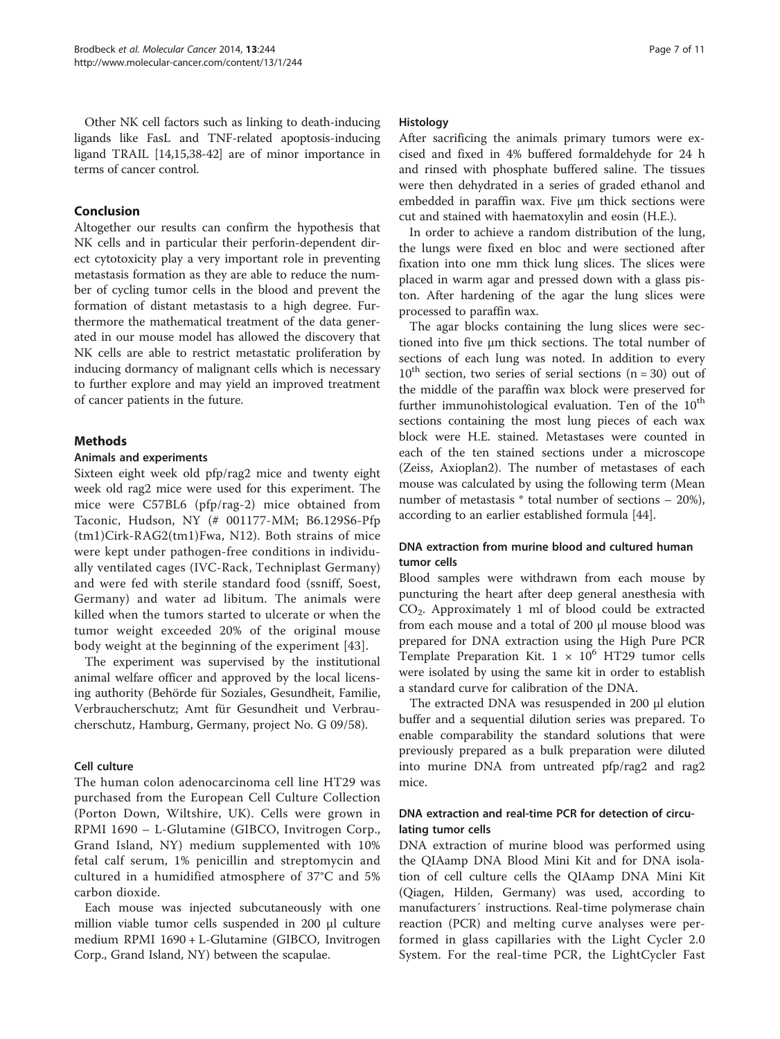<span id="page-6-0"></span>Other NK cell factors such as linking to death-inducing ligands like FasL and TNF-related apoptosis-inducing ligand TRAIL [\[14,15,38](#page-9-0)-[42](#page-9-0)] are of minor importance in terms of cancer control.

# Conclusion

Altogether our results can confirm the hypothesis that NK cells and in particular their perforin-dependent direct cytotoxicity play a very important role in preventing metastasis formation as they are able to reduce the number of cycling tumor cells in the blood and prevent the formation of distant metastasis to a high degree. Furthermore the mathematical treatment of the data generated in our mouse model has allowed the discovery that NK cells are able to restrict metastatic proliferation by inducing dormancy of malignant cells which is necessary to further explore and may yield an improved treatment of cancer patients in the future.

# Methods

# Animals and experiments

Sixteen eight week old pfp/rag2 mice and twenty eight week old rag2 mice were used for this experiment. The mice were C57BL6 (pfp/rag-2) mice obtained from Taconic, Hudson, NY (# 001177-MM; B6.129S6-Pfp (tm1)Cirk-RAG2(tm1)Fwa, N12). Both strains of mice were kept under pathogen-free conditions in individually ventilated cages (IVC-Rack, Techniplast Germany) and were fed with sterile standard food (ssniff, Soest, Germany) and water ad libitum. The animals were killed when the tumors started to ulcerate or when the tumor weight exceeded 20% of the original mouse body weight at the beginning of the experiment [[43\]](#page-9-0).

The experiment was supervised by the institutional animal welfare officer and approved by the local licensing authority (Behörde für Soziales, Gesundheit, Familie, Verbraucherschutz; Amt für Gesundheit und Verbraucherschutz, Hamburg, Germany, project No. G 09/58).

# Cell culture

The human colon adenocarcinoma cell line HT29 was purchased from the European Cell Culture Collection (Porton Down, Wiltshire, UK). Cells were grown in RPMI 1690 – L-Glutamine (GIBCO, Invitrogen Corp., Grand Island, NY) medium supplemented with 10% fetal calf serum, 1% penicillin and streptomycin and cultured in a humidified atmosphere of 37°C and 5% carbon dioxide.

Each mouse was injected subcutaneously with one million viable tumor cells suspended in 200 μl culture medium RPMI 1690 + L-Glutamine (GIBCO, Invitrogen Corp., Grand Island, NY) between the scapulae.

# Histology

After sacrificing the animals primary tumors were excised and fixed in 4% buffered formaldehyde for 24 h and rinsed with phosphate buffered saline. The tissues were then dehydrated in a series of graded ethanol and embedded in paraffin wax. Five μm thick sections were cut and stained with haematoxylin and eosin (H.E.).

In order to achieve a random distribution of the lung, the lungs were fixed en bloc and were sectioned after fixation into one mm thick lung slices. The slices were placed in warm agar and pressed down with a glass piston. After hardening of the agar the lung slices were processed to paraffin wax.

The agar blocks containing the lung slices were sectioned into five μm thick sections. The total number of sections of each lung was noted. In addition to every  $10^{th}$  section, two series of serial sections (n = 30) out of the middle of the paraffin wax block were preserved for further immunohistological evaluation. Ten of the  $10<sup>th</sup>$ sections containing the most lung pieces of each wax block were H.E. stained. Metastases were counted in each of the ten stained sections under a microscope (Zeiss, Axioplan2). The number of metastases of each mouse was calculated by using the following term (Mean number of metastasis \* total number of sections – 20%), according to an earlier established formula [[44\]](#page-9-0).

# DNA extraction from murine blood and cultured human tumor cells

Blood samples were withdrawn from each mouse by puncturing the heart after deep general anesthesia with CO2. Approximately 1 ml of blood could be extracted from each mouse and a total of 200 μl mouse blood was prepared for DNA extraction using the High Pure PCR Template Preparation Kit.  $1 \times 10^6$  HT29 tumor cells were isolated by using the same kit in order to establish a standard curve for calibration of the DNA.

The extracted DNA was resuspended in 200 μl elution buffer and a sequential dilution series was prepared. To enable comparability the standard solutions that were previously prepared as a bulk preparation were diluted into murine DNA from untreated pfp/rag2 and rag2 mice.

# DNA extraction and real-time PCR for detection of circulating tumor cells

DNA extraction of murine blood was performed using the QIAamp DNA Blood Mini Kit and for DNA isolation of cell culture cells the QIAamp DNA Mini Kit (Qiagen, Hilden, Germany) was used, according to manufacturers′ instructions. Real-time polymerase chain reaction (PCR) and melting curve analyses were performed in glass capillaries with the Light Cycler 2.0 System. For the real-time PCR, the LightCycler Fast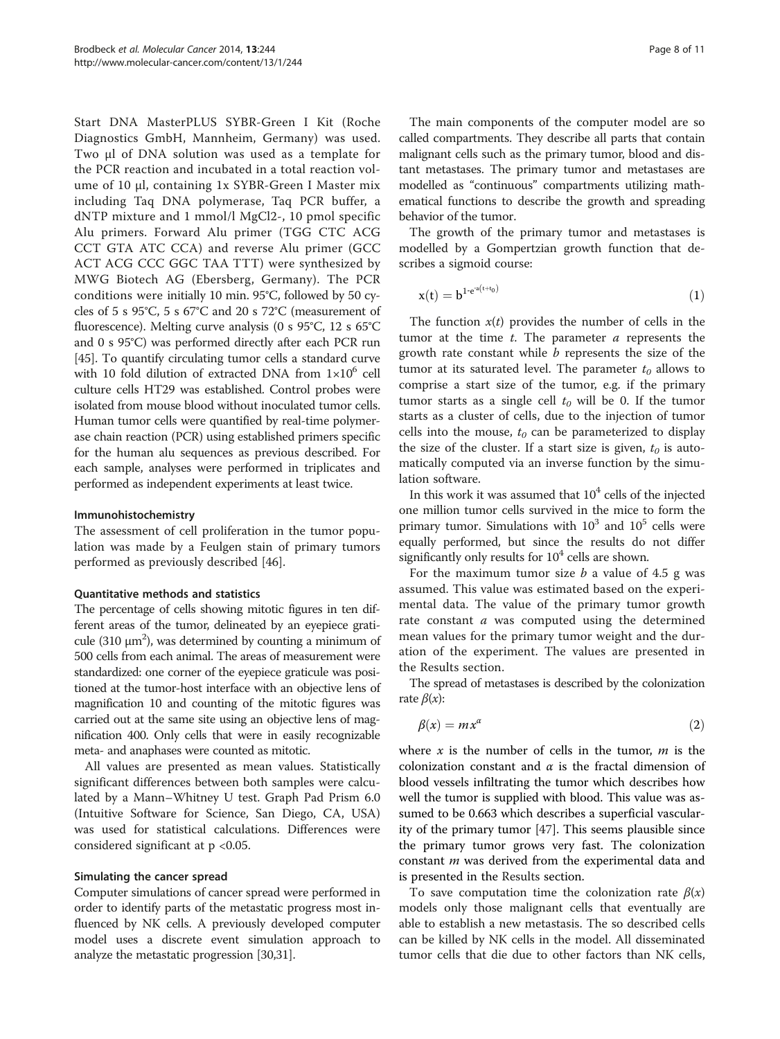<span id="page-7-0"></span>Start DNA MasterPLUS SYBR-Green I Kit (Roche Diagnostics GmbH, Mannheim, Germany) was used. Two μl of DNA solution was used as a template for the PCR reaction and incubated in a total reaction volume of 10 μl, containing 1x SYBR-Green I Master mix including Taq DNA polymerase, Taq PCR buffer, a dNTP mixture and 1 mmol/l MgCl2-, 10 pmol specific Alu primers. Forward Alu primer (TGG CTC ACG CCT GTA ATC CCA) and reverse Alu primer (GCC ACT ACG CCC GGC TAA TTT) were synthesized by MWG Biotech AG (Ebersberg, Germany). The PCR conditions were initially 10 min. 95°C, followed by 50 cycles of 5 s 95°C, 5 s 67°C and 20 s 72°C (measurement of fluorescence). Melting curve analysis (0 s 95°C, 12 s 65°C and 0 s 95°C) was performed directly after each PCR run [[45](#page-10-0)]. To quantify circulating tumor cells a standard curve with 10 fold dilution of extracted DNA from  $1\times10^6$  cell culture cells HT29 was established. Control probes were isolated from mouse blood without inoculated tumor cells. Human tumor cells were quantified by real-time polymerase chain reaction (PCR) using established primers specific for the human alu sequences as previous described. For each sample, analyses were performed in triplicates and performed as independent experiments at least twice.

## Immunohistochemistry

The assessment of cell proliferation in the tumor population was made by a Feulgen stain of primary tumors performed as previously described [\[46\]](#page-10-0).

# Quantitative methods and statistics

The percentage of cells showing mitotic figures in ten different areas of the tumor, delineated by an eyepiece graticule (310  $\mu$ m<sup>2</sup>), was determined by counting a minimum of 500 cells from each animal. The areas of measurement were standardized: one corner of the eyepiece graticule was positioned at the tumor-host interface with an objective lens of magnification 10 and counting of the mitotic figures was carried out at the same site using an objective lens of magnification 400. Only cells that were in easily recognizable meta- and anaphases were counted as mitotic.

All values are presented as mean values. Statistically significant differences between both samples were calculated by a Mann–Whitney U test. Graph Pad Prism 6.0 (Intuitive Software for Science, San Diego, CA, USA) was used for statistical calculations. Differences were considered significant at p <0.05.

## Simulating the cancer spread

Computer simulations of cancer spread were performed in order to identify parts of the metastatic progress most influenced by NK cells. A previously developed computer model uses a discrete event simulation approach to analyze the metastatic progression [\[30,31](#page-9-0)].

The main components of the computer model are so called compartments. They describe all parts that contain malignant cells such as the primary tumor, blood and distant metastases. The primary tumor and metastases are modelled as "continuous" compartments utilizing mathematical functions to describe the growth and spreading behavior of the tumor.

The growth of the primary tumor and metastases is modelled by a Gompertzian growth function that describes a sigmoid course:

$$
x(t) = b^{1 \cdot e^{a(t+t_0)}} \tag{1}
$$

The function  $x(t)$  provides the number of cells in the tumor at the time  $t$ . The parameter  $a$  represents the growth rate constant while  $b$  represents the size of the tumor at its saturated level. The parameter  $t_0$  allows to comprise a start size of the tumor, e.g. if the primary tumor starts as a single cell  $t_0$  will be 0. If the tumor starts as a cluster of cells, due to the injection of tumor cells into the mouse,  $t_0$  can be parameterized to display the size of the cluster. If a start size is given,  $t_0$  is automatically computed via an inverse function by the simulation software.

In this work it was assumed that  $10<sup>4</sup>$  cells of the injected one million tumor cells survived in the mice to form the primary tumor. Simulations with  $10^3$  and  $10^5$  cells were equally performed, but since the results do not differ significantly only results for  $10<sup>4</sup>$  cells are shown.

For the maximum tumor size  $b$  a value of 4.5 g was assumed. This value was estimated based on the experimental data. The value of the primary tumor growth rate constant  $a$  was computed using the determined mean values for the primary tumor weight and the duration of the experiment. The values are presented in the [Results](#page-1-0) section.

The spread of metastases is described by the colonization rate  $\beta(x)$ :

$$
\beta(x) = mx^{\alpha} \tag{2}
$$

where  $x$  is the number of cells in the tumor,  $m$  is the colonization constant and  $\alpha$  is the fractal dimension of blood vessels infiltrating the tumor which describes how well the tumor is supplied with blood. This value was assumed to be 0.663 which describes a superficial vascularity of the primary tumor [[47\]](#page-10-0). This seems plausible since the primary tumor grows very fast. The colonization constant *m* was derived from the experimental data and is presented in the [Results](#page-1-0) section.

To save computation time the colonization rate  $\beta(x)$ models only those malignant cells that eventually are able to establish a new metastasis. The so described cells can be killed by NK cells in the model. All disseminated tumor cells that die due to other factors than NK cells,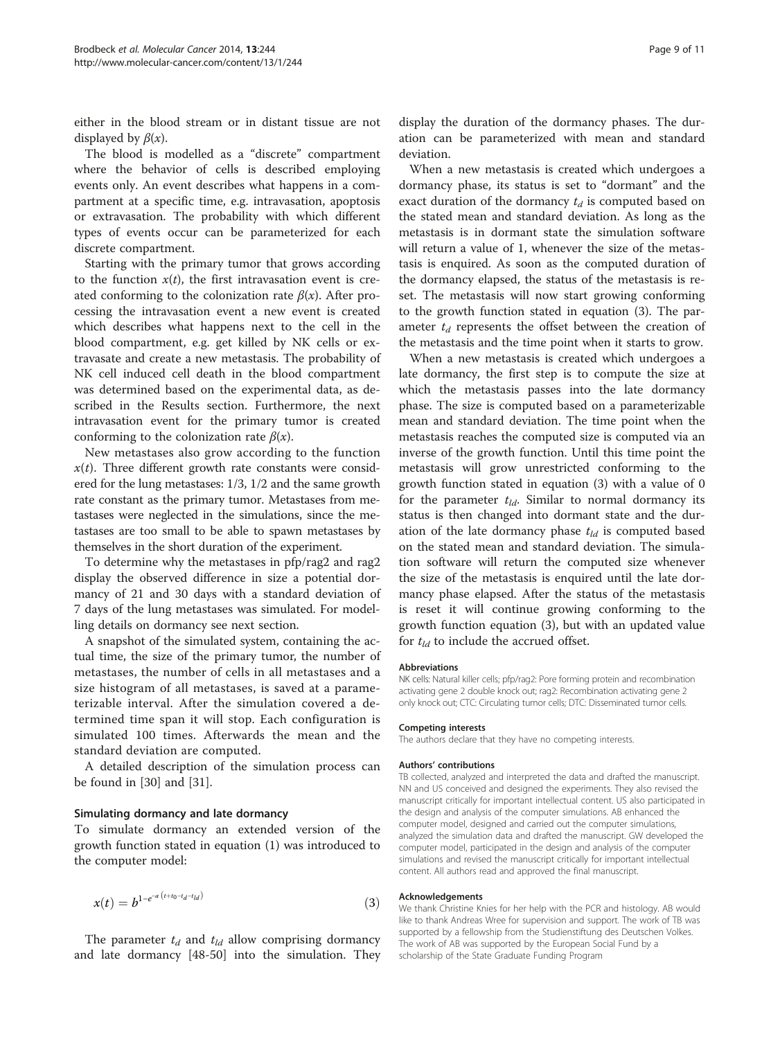either in the blood stream or in distant tissue are not displayed by  $\beta(x)$ .

The blood is modelled as a "discrete" compartment where the behavior of cells is described employing events only. An event describes what happens in a compartment at a specific time, e.g. intravasation, apoptosis or extravasation. The probability with which different types of events occur can be parameterized for each discrete compartment.

Starting with the primary tumor that grows according to the function  $x(t)$ , the first intravasation event is created conforming to the colonization rate  $\beta(x)$ . After processing the intravasation event a new event is created which describes what happens next to the cell in the blood compartment, e.g. get killed by NK cells or extravasate and create a new metastasis. The probability of NK cell induced cell death in the blood compartment was determined based on the experimental data, as described in the [Results](#page-1-0) section. Furthermore, the next intravasation event for the primary tumor is created conforming to the colonization rate  $\beta(x)$ .

New metastases also grow according to the function  $x(t)$ . Three different growth rate constants were considered for the lung metastases: 1/3, 1/2 and the same growth rate constant as the primary tumor. Metastases from metastases were neglected in the simulations, since the metastases are too small to be able to spawn metastases by themselves in the short duration of the experiment.

To determine why the metastases in pfp/rag2 and rag2 display the observed difference in size a potential dormancy of 21 and 30 days with a standard deviation of 7 days of the lung metastases was simulated. For modelling details on dormancy see next section.

A snapshot of the simulated system, containing the actual time, the size of the primary tumor, the number of metastases, the number of cells in all metastases and a size histogram of all metastases, is saved at a parameterizable interval. After the simulation covered a determined time span it will stop. Each configuration is simulated 100 times. Afterwards the mean and the standard deviation are computed.

A detailed description of the simulation process can be found in [\[30\]](#page-9-0) and [\[31\]](#page-9-0).

## Simulating dormancy and late dormancy

To simulate dormancy an extended version of the growth function stated in equation ([1\)](#page-7-0) was introduced to the computer model:

$$
x(t) = b^{1 - e^{-a(t + t_0 - t_d - t_d)}} \tag{3}
$$

The parameter  $t_d$  and  $t_{ld}$  allow comprising dormancy and late dormancy [[48-50](#page-10-0)] into the simulation. They display the duration of the dormancy phases. The duration can be parameterized with mean and standard deviation.

When a new metastasis is created which undergoes a dormancy phase, its status is set to "dormant" and the exact duration of the dormancy  $t_d$  is computed based on the stated mean and standard deviation. As long as the metastasis is in dormant state the simulation software will return a value of 1, whenever the size of the metastasis is enquired. As soon as the computed duration of the dormancy elapsed, the status of the metastasis is reset. The metastasis will now start growing conforming to the growth function stated in equation (3). The parameter  $t_d$  represents the offset between the creation of the metastasis and the time point when it starts to grow.

When a new metastasis is created which undergoes a late dormancy, the first step is to compute the size at which the metastasis passes into the late dormancy phase. The size is computed based on a parameterizable mean and standard deviation. The time point when the metastasis reaches the computed size is computed via an inverse of the growth function. Until this time point the metastasis will grow unrestricted conforming to the growth function stated in equation (3) with a value of 0 for the parameter  $t_{ld}$ . Similar to normal dormancy its status is then changed into dormant state and the duration of the late dormancy phase  $t_{ld}$  is computed based on the stated mean and standard deviation. The simulation software will return the computed size whenever the size of the metastasis is enquired until the late dormancy phase elapsed. After the status of the metastasis is reset it will continue growing conforming to the growth function equation (3), but with an updated value for  $t_{ld}$  to include the accrued offset.

#### **Abbreviations**

NK cells: Natural killer cells; pfp/rag2: Pore forming protein and recombination activating gene 2 double knock out; rag2: Recombination activating gene 2 only knock out; CTC: Circulating tumor cells; DTC: Disseminated tumor cells.

#### Competing interests

The authors declare that they have no competing interests.

#### Authors' contributions

TB collected, analyzed and interpreted the data and drafted the manuscript. NN and US conceived and designed the experiments. They also revised the manuscript critically for important intellectual content. US also participated in the design and analysis of the computer simulations. AB enhanced the computer model, designed and carried out the computer simulations, analyzed the simulation data and drafted the manuscript. GW developed the computer model, participated in the design and analysis of the computer simulations and revised the manuscript critically for important intellectual content. All authors read and approved the final manuscript.

#### Acknowledgements

We thank Christine Knies for her help with the PCR and histology. AB would like to thank Andreas Wree for supervision and support. The work of TB was supported by a fellowship from the Studienstiftung des Deutschen Volkes. The work of AB was supported by the European Social Fund by a scholarship of the State Graduate Funding Program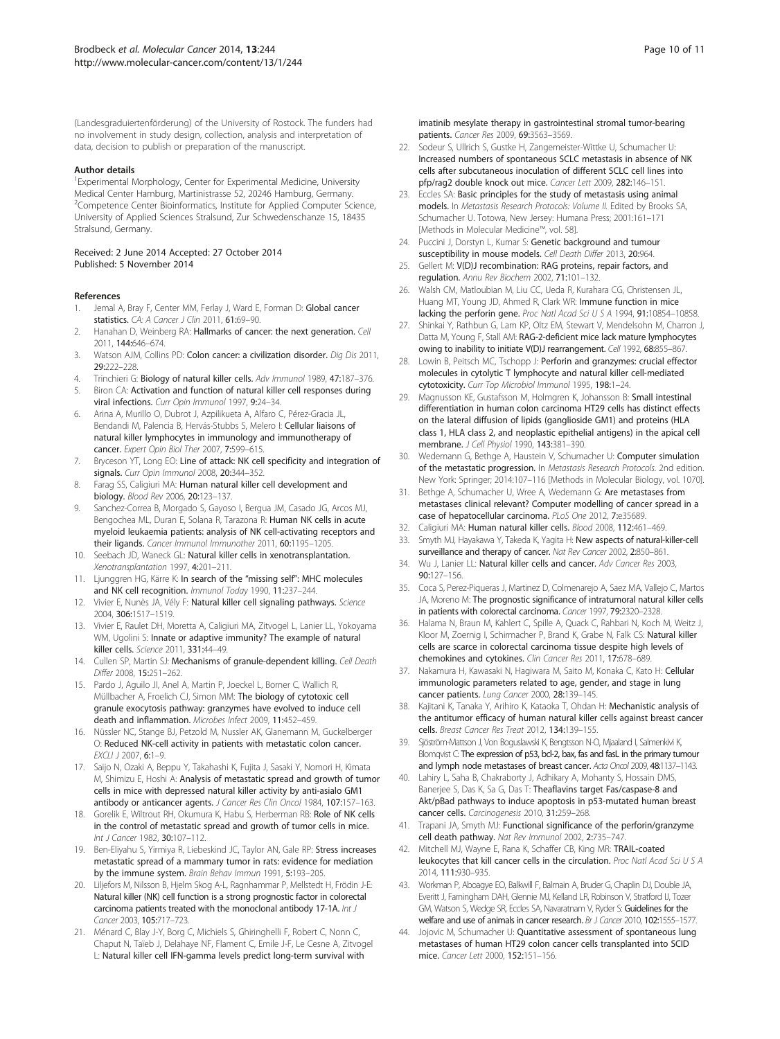<span id="page-9-0"></span>(Landesgraduiertenförderung) of the University of Rostock. The funders had no involvement in study design, collection, analysis and interpretation of data, decision to publish or preparation of the manuscript.

#### Author details

<sup>1</sup> Experimental Morphology, Center for Experimental Medicine, University Medical Center Hamburg, Martinistrasse 52, 20246 Hamburg, Germany. <sup>2</sup>Competence Center Bioinformatics, Institute for Applied Computer Science, University of Applied Sciences Stralsund, Zur Schwedenschanze 15, 18435 Stralsund, Germany.

#### Received: 2 June 2014 Accepted: 27 October 2014 Published: 5 November 2014

#### References

- 1. Jemal A, Bray F, Center MM, Ferlay J, Ward E, Forman D: Global cancer statistics. CA: A Cancer J Clin 2011, 61:69-90.
- 2. Hanahan D, Weinberg RA: Hallmarks of cancer: the next generation. Cell 2011, 144:646–674.
- 3. Watson AJM, Collins PD: Colon cancer: a civilization disorder. Dig Dis 2011, 29:222–228.
- 4. Trinchieri G: Biology of natural killer cells. Adv Immunol 1989, 47:187-376.
- 5. Biron CA: Activation and function of natural killer cell responses during viral infections. Curr Opin Immunol 1997, 9:24–34.
- 6. Arina A, Murillo O, Dubrot J, Azpilikueta A, Alfaro C, Pérez-Gracia JL, Bendandi M, Palencia B, Hervás-Stubbs S, Melero I: Cellular liaisons of natural killer lymphocytes in immunology and immunotherapy of cancer. Expert Opin Biol Ther 2007, 7:599–615.
- 7. Bryceson YT, Long EO: Line of attack: NK cell specificity and integration of signals. Curr Opin Immunol 2008, 20:344-352.
- Farag SS, Caligiuri MA: Human natural killer cell development and biology. Blood Rev 2006, 20:123–137.
- 9. Sanchez-Correa B, Morgado S, Gayoso I, Bergua JM, Casado JG, Arcos MJ, Bengochea ML, Duran E, Solana R, Tarazona R: Human NK cells in acute myeloid leukaemia patients: analysis of NK cell-activating receptors and their ligands. Cancer Immunol Immunother 2011, 60:1195–1205.
- 10. Seebach JD, Waneck GL: Natural killer cells in xenotransplantation. Xenotransplantation 1997, 4:201–211.
- 11. Ljunggren HG, Kärre K: In search of the "missing self": MHC molecules and NK cell recognition. Immunol Today 1990, 11:237–244.
- 12. Vivier E, Nunès JA, Vély F: Natural killer cell signaling pathways. Science 2004, 306:1517–1519.
- 13. Vivier E, Raulet DH, Moretta A, Caligiuri MA, Zitvogel L, Lanier LL, Yokoyama WM, Ugolini S: Innate or adaptive immunity? The example of natural killer cells. Science 2011, 331:44–49.
- 14. Cullen SP, Martin SJ: Mechanisms of granule-dependent killing. Cell Death Differ 2008, 15:251–262.
- 15. Pardo J, Aguilo JI, Anel A, Martin P, Joeckel L, Borner C, Wallich R, Müllbacher A, Froelich CJ, Simon MM: The biology of cytotoxic cell granule exocytosis pathway: granzymes have evolved to induce cell death and inflammation. Microbes Infect 2009, 11:452–459.
- 16. Nüssler NC, Stange BJ, Petzold M, Nussler AK, Glanemann M, Guckelberger O: Reduced NK-cell activity in patients with metastatic colon cancer.  $FXC1112007.6:1-9.$
- 17. Saijo N, Ozaki A, Beppu Y, Takahashi K, Fujita J, Sasaki Y, Nomori H, Kimata M, Shimizu E, Hoshi A: Analysis of metastatic spread and growth of tumor cells in mice with depressed natural killer activity by anti-asialo GM1 antibody or anticancer agents. J Cancer Res Clin Oncol 1984, 107:157-163.
- 18. Gorelik E, Wiltrout RH, Okumura K, Habu S, Herberman RB: Role of NK cells in the control of metastatic spread and growth of tumor cells in mice. Int J Cancer 1982, 30:107–112.
- 19. Ben-Eliyahu S, Yirmiya R, Liebeskind JC, Taylor AN, Gale RP: Stress increases metastatic spread of a mammary tumor in rats: evidence for mediation by the immune system. Brain Behav Immun 1991, 5:193–205.
- 20. Liljefors M, Nilsson B, Hjelm Skog A-L, Ragnhammar P, Mellstedt H, Frödin J-E: Natural killer (NK) cell function is a strong prognostic factor in colorectal carcinoma patients treated with the monoclonal antibody 17-1A. Int J Cancer 2003, 105:717–723.
- 21. Ménard C, Blay J-Y, Borg C, Michiels S, Ghiringhelli F, Robert C, Nonn C, Chaput N, Taïeb J, Delahaye NF, Flament C, Emile J-F, Le Cesne A, Zitvogel L: Natural killer cell IFN-gamma levels predict long-term survival with

imatinib mesylate therapy in gastrointestinal stromal tumor-bearing patients. Cancer Res 2009, 69:3563–3569.

- 22. Sodeur S, Ullrich S, Gustke H, Zangemeister-Wittke U, Schumacher U: Increased numbers of spontaneous SCLC metastasis in absence of NK cells after subcutaneous inoculation of different SCLC cell lines into pfp/rag2 double knock out mice. Cancer Lett 2009, 282:146–151.
- 23. Eccles SA: Basic principles for the study of metastasis using animal models. In Metastasis Research Protocols: Volume II. Edited by Brooks SA, Schumacher U. Totowa, New Jersey: Humana Press; 2001:161–171 [Methods in Molecular Medicine™, vol. 58].
- 24. Puccini J, Dorstyn L, Kumar S: Genetic background and tumour susceptibility in mouse models. Cell Death Differ 2013, 20:964.
- 25. Gellert M: V(D)J recombination: RAG proteins, repair factors, and regulation. Annu Rev Biochem 2002, 71:101–132.
- 26. Walsh CM, Matloubian M, Liu CC, Ueda R, Kurahara CG, Christensen JL, Huang MT, Young JD, Ahmed R, Clark WR: Immune function in mice lacking the perforin gene. Proc Natl Acad Sci U S A 1994, 91:10854-10858
- 27. Shinkai Y, Rathbun G, Lam KP, Oltz EM, Stewart V, Mendelsohn M, Charron J, Datta M, Young F, Stall AM: RAG-2-deficient mice lack mature lymphocytes owing to inability to initiate V(D)J rearrangement. Cell 1992, 68:855-867.
- 28. Lowin B, Peitsch MC, Tschopp J: Perforin and granzymes: crucial effector molecules in cytolytic T lymphocyte and natural killer cell-mediated cytotoxicity. Curr Top Microbiol Immunol 1995, 198:1-24.
- 29. Magnusson KE, Gustafsson M, Holmgren K, Johansson B: Small intestinal differentiation in human colon carcinoma HT29 cells has distinct effects on the lateral diffusion of lipids (ganglioside GM1) and proteins (HLA class 1, HLA class 2, and neoplastic epithelial antigens) in the apical cell membrane. J Cell Physiol 1990, 143:381–390.
- 30. Wedemann G, Bethge A, Haustein V, Schumacher U: Computer simulation of the metastatic progression. In Metastasis Research Protocols. 2nd edition. New York: Springer; 2014:107–116 [Methods in Molecular Biology, vol. 1070].
- 31. Bethge A, Schumacher U, Wree A, Wedemann G: Are metastases from metastases clinical relevant? Computer modelling of cancer spread in a case of hepatocellular carcinoma. PLoS One 2012, 7:e35689.
- 32. Caligiuri MA: Human natural killer cells. Blood 2008, 112:461–469.
- 33. Smyth MJ, Hayakawa Y, Takeda K, Yagita H: New aspects of natural-killer-cell surveillance and therapy of cancer. Nat Rev Cancer 2002, 2:850-861.
- 34. Wu J, Lanier LL: Natural killer cells and cancer. Adv Cancer Res 2003, 90:127–156.
- 35. Coca S, Perez-Piqueras J, Martinez D, Colmenarejo A, Saez MA, Vallejo C, Martos JA, Moreno M: The prognostic significance of intratumoral natural killer cells in patients with colorectal carcinoma. Cancer 1997, 79:2320–2328.
- 36. Halama N, Braun M, Kahlert C, Spille A, Quack C, Rahbari N, Koch M, Weitz J, Kloor M, Zoernig I, Schirmacher P, Brand K, Grabe N, Falk CS: Natural killer cells are scarce in colorectal carcinoma tissue despite high levels of chemokines and cytokines. Clin Cancer Res 2011, 17:678–689.
- 37. Nakamura H, Kawasaki N, Hagiwara M, Saito M, Konaka C, Kato H: Cellular immunologic parameters related to age, gender, and stage in lung cancer patients. Lung Cancer 2000, 28:139–145.
- Kajitani K, Tanaka Y, Arihiro K, Kataoka T, Ohdan H: Mechanistic analysis of the antitumor efficacy of human natural killer cells against breast cancer cells. Breast Cancer Res Treat 2012, 134:139–155.
- 39. Sjöström-Mattson J, Von Boguslawski K, Bengtsson N-O, Mjaaland I, Salmenkivi K, Blomqvist C: The expression of p53, bcl-2, bax, fas and fasL in the primary tumour and lymph node metastases of breast cancer. Acta Oncol 2009, 48:1137–1143.
- 40. Lahiry L, Saha B, Chakraborty J, Adhikary A, Mohanty S, Hossain DMS, Banerjee S, Das K, Sa G, Das T: Theaflavins target Fas/caspase-8 and Akt/pBad pathways to induce apoptosis in p53-mutated human breast cancer cells. Carcinogenesis 2010, 31:259–268.
- 41. Trapani JA, Smyth MJ: Functional significance of the perforin/granzyme cell death pathway. Nat Rev Immunol 2002, 2:735–747.
- 42. Mitchell MJ, Wayne E, Rana K, Schaffer CB, King MR: TRAIL-coated leukocytes that kill cancer cells in the circulation. Proc Natl Acad Sci U S A 2014, 111:930–935.
- 43. Workman P, Aboagye EO, Balkwill F, Balmain A, Bruder G, Chaplin DJ, Double JA, Everitt J, Farningham DAH, Glennie MJ, Kelland LR, Robinson V, Stratford IJ, Tozer GM, Watson S, Wedge SR, Eccles SA, Navaratnam V, Ryder S: Guidelines for the welfare and use of animals in cancer research. Br J Cancer 2010, 102:1555-1577.
- 44. Jojovic M, Schumacher U: Quantitative assessment of spontaneous lung metastases of human HT29 colon cancer cells transplanted into SCID mice. Cancer Lett 2000, 152:151–156.